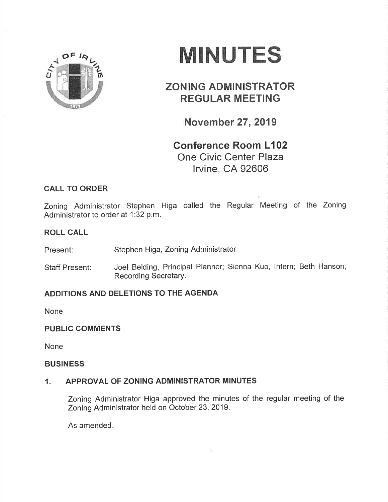

# MINUTES

# ZONING ADMINISTRATOR REGULAR MEETING

November 27,2019

Conference Room L102 One Civic Center Plaza lrvine, CA 92606

# CALL TO ORDER

Zoning Administrator Stephen Higa called the Regular Meeting of the Zoning Administrator to order at 1:32 p.m.

#### ROLL CALL

Present: Stephen Higa, Zoning Administrator

Staff Present: Joel Belding, Principal Planner; Sienna Kuo, lntern; Beth Hanson, Recording Secretary.

# ADDITIONS AND DELETIONS TO THE AGENDA

None

#### PUBLIC COMMENTS

None

#### BUSINESS

# 1. APPROVAL OF ZONING ADMINISTRATOR MINUTES

Zoning Administrator Higa approved the minutes of the regular meeting of the Zoning Administrator held on October 23,2019.

As amended